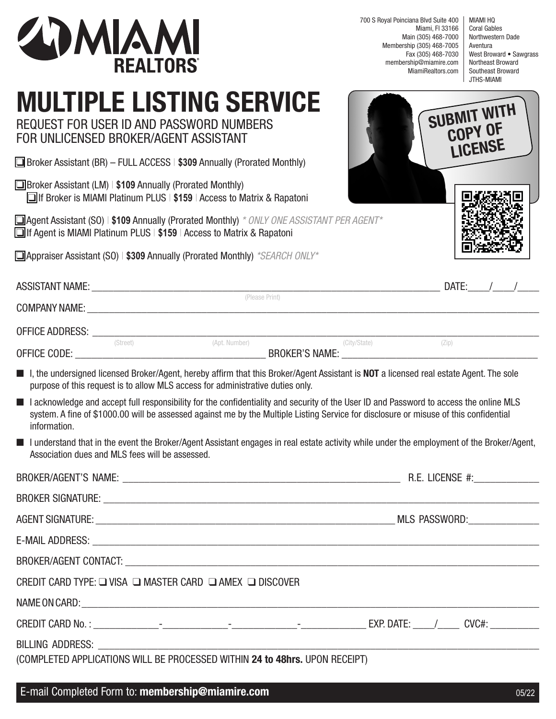

700 S Royal Poinciana Blvd Suite 400 Miami, Fl 33166 Main (305) 468-7000 Membership (305) 468-7005 Fax (305) 468-7030 membership@miamire.com MiamiRealtors.com

MIAMI HQ Coral Gables Northwestern Dade Aventura West Broward • Sawgrass Northeast Broward Southeast Broward JTHS-MIAMI

## **MULTIPLE LISTING SERVICE**

REQUEST FOR USER ID AND PASSWORD NUMBERS FOR UNLICENSED BROKER/AGENT ASSISTANT

q Broker Assistant (BR) – FULL ACCESS | **\$309** Annually (Prorated Monthly)

q Broker Assistant (LM) | **\$109** Annually (Prorated Monthly) q If Broker is MIAMI Platinum PLUS | **\$159** | Access to Matrix & Rapatoni

**Q Agent Assistant (SO) | \$109 Annually (Prorated Monthly)** *\* ONLY ONE ASSISTANT PE* **The If Agent is MIAMI Platinum PLUS | \$159 | Access to Matrix & Rapatoni** 

q Appraiser Assistant (SO) | **\$309** Annually (Prorated Monthly) *\*SEARCH ONLY\** 

|                  | <b>SUBMIT WITH</b><br><b>COPY OF</b> |
|------------------|--------------------------------------|
| <i>ER AGENT*</i> |                                      |

| <b>ASSISTANT NAME:</b> |          |                                                                         |  | DATE: |  |
|------------------------|----------|-------------------------------------------------------------------------|--|-------|--|
| <b>COMPANY NAME:</b>   |          | (Please Print)                                                          |  |       |  |
| OFFICE ADDRESS:        |          |                                                                         |  |       |  |
| OFFICE CODE:           | (Street) | (City/State)<br>(Apt. Number)<br>$(\angle$ ip)<br><b>BROKER'S NAME:</b> |  |       |  |

■ I, the undersigned licensed Broker/Agent, hereby affirm that this Broker/Agent Assistant is **NOT** a licensed real estate Agent. The sole purpose of this request is to allow MLS access for administrative duties only.

- I acknowledge and accept full responsibility for the confidentiality and security of the User ID and Password to access the online MLS system. A fine of \$1000.00 will be assessed against me by the Multiple Listing Service for disclosure or misuse of this confidential information.
- I understand that in the event the Broker/Agent Assistant engages in real estate activity while under the employment of the Broker/Agent, Association dues and MLS fees will be assessed.

| BROKER/AGENT CONTACT: University of the contract of the contract of the contract of the contract of the contract of the contract of the contract of the contract of the contract of the contract of the contract of the contra |  |  |  |  |
|--------------------------------------------------------------------------------------------------------------------------------------------------------------------------------------------------------------------------------|--|--|--|--|
| CREDIT CARD TYPE: $\square$ VISA $\square$ MASTER CARD $\square$ AMEX $\square$ DISCOVER                                                                                                                                       |  |  |  |  |
|                                                                                                                                                                                                                                |  |  |  |  |
|                                                                                                                                                                                                                                |  |  |  |  |
| (COMPLETED APPLICATIONS WILL BE PROCESSED WITHIN 24 to 48hrs. UPON RECEIPT)                                                                                                                                                    |  |  |  |  |